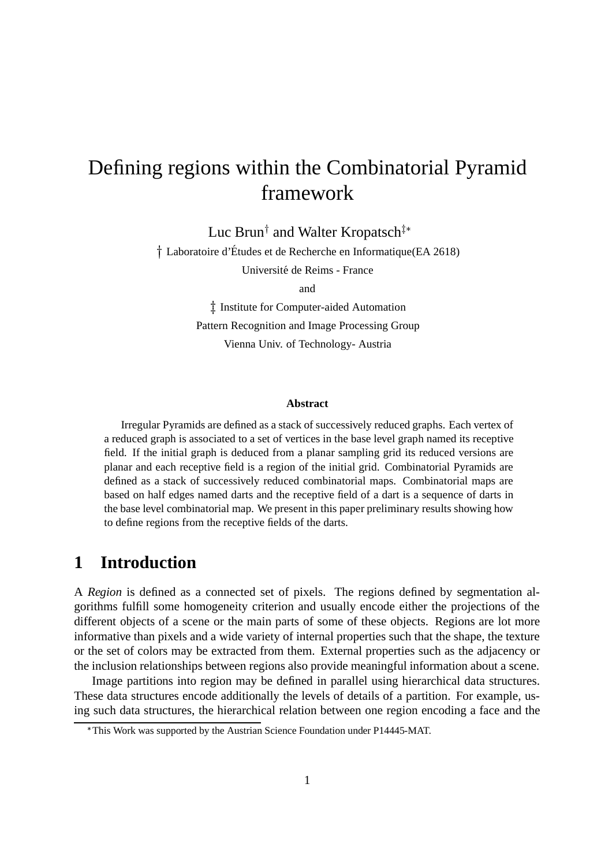# Defining regions within the Combinatorial Pyramid framework

Luc Brun<sup>†</sup> and Walter Kropatsch<sup>‡\*</sup>

<sup>†</sup> Laboratoire d'Études et de Recherche en Informatique(EA 2618)

Université de Reims - France

and

 $\ddagger$  Institute for Computer-aided Automation Pattern Recognition and Image Processing Group Vienna Univ. of Technology- Austria

#### **Abstract**

Irregular Pyramids are defined as a stack of successively reduced graphs. Each vertex of a reduced graph is associated to a set of vertices in the base level graph named its receptive field. If the initial graph is deduced from a planar sampling grid its reduced versions are planar and each receptive field is a region of the initial grid. Combinatorial Pyramids are defined as a stack of successively reduced combinatorial maps. Combinatorial maps are based on half edges named darts and the receptive field of a dart is a sequence of darts in the base level combinatorial map. We present in this paper preliminary results showing how to define regions from the receptive fields of the darts.

### **1 Introduction**

A *Region* is defined as a connected set of pixels. The regions defined by segmentation algorithms fulfill some homogeneity criterion and usually encode either the projections of the different objects of a scene or the main parts of some of these objects. Regions are lot more informative than pixels and a wide variety of internal properties such that the shape, the texture or the set of colors may be extracted from them. External properties such as the adjacency or the inclusion relationships between regions also provide meaningful information about a scene.

Image partitions into region may be defined in parallel using hierarchical data structures. These data structures encode additionally the levels of details of a partition. For example, using such data structures, the hierarchical relation between one region encoding a face and the

This Work was supported by the Austrian Science Foundation under P14445-MAT.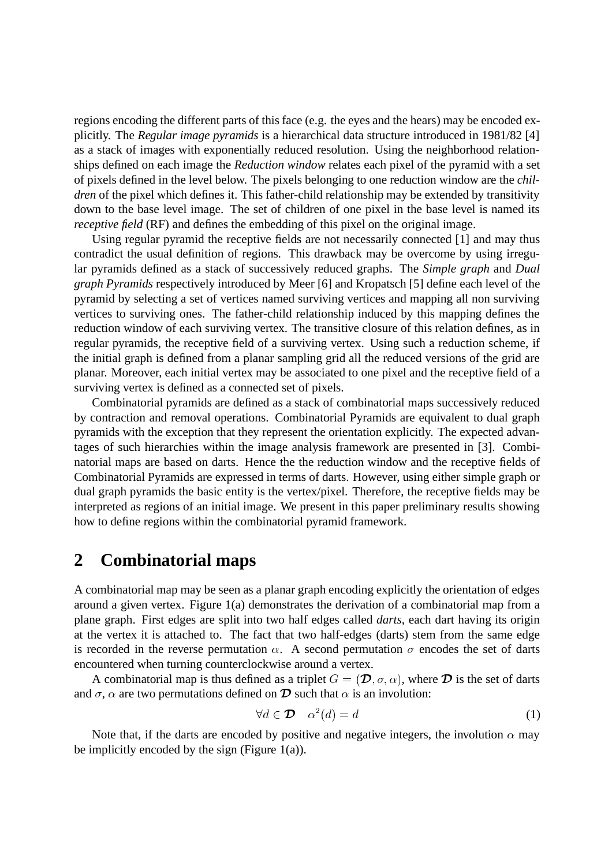regions encoding the different parts of this face (e.g. the eyes and the hears) may be encoded explicitly. The *Regular image pyramids* is a hierarchical data structure introduced in 1981/82 [4] as a stack of images with exponentially reduced resolution. Using the neighborhood relationships defined on each image the *Reduction window* relates each pixel of the pyramid with a set of pixels defined in the level below. The pixels belonging to one reduction window are the *children* of the pixel which defines it. This father-child relationship may be extended by transitivity down to the base level image. The set of children of one pixel in the base level is named its *receptive field* (RF) and defines the embedding of this pixel on the original image.

Using regular pyramid the receptive fields are not necessarily connected [1] and may thus contradict the usual definition of regions. This drawback may be overcome by using irregular pyramids defined as a stack of successively reduced graphs. The *Simple graph* and *Dual graph Pyramids* respectively introduced by Meer [6] and Kropatsch [5] define each level of the pyramid by selecting a set of vertices named surviving vertices and mapping all non surviving vertices to surviving ones. The father-child relationship induced by this mapping defines the reduction window of each surviving vertex. The transitive closure of this relation defines, as in regular pyramids, the receptive field of a surviving vertex. Using such a reduction scheme, if the initial graph is defined from a planar sampling grid all the reduced versions of the grid are planar. Moreover, each initial vertex may be associated to one pixel and the receptive field of a surviving vertex is defined as a connected set of pixels.

Combinatorial pyramids are defined as a stack of combinatorial maps successively reduced by contraction and removal operations. Combinatorial Pyramids are equivalent to dual graph pyramids with the exception that they represent the orientation explicitly. The expected advantages of such hierarchies within the image analysis framework are presented in [3]. Combinatorial maps are based on darts. Hence the the reduction window and the receptive fields of Combinatorial Pyramids are expressed in terms of darts. However, using either simple graph or dual graph pyramids the basic entity is the vertex/pixel. Therefore, the receptive fields may be interpreted as regions of an initial image. We present in this paper preliminary results showing how to define regions within the combinatorial pyramid framework.

### **2 Combinatorial maps**

A combinatorial map may be seen as a planar graph encoding explicitly the orientation of edges around a given vertex. Figure 1(a) demonstrates the derivation of a combinatorial map from a plane graph. First edges are split into two half edges called *darts*, each dart having its origin at the vertex it is attached to. The fact that two half-edges (darts) stem from the same edge is recorded in the reverse permutation  $\alpha$ . A second permutation  $\sigma$  encodes the set of darts encountered when turning counterclockwise around a vertex.

A combinatorial map is thus defined as a triplet  $G = (\mathcal{D}, \sigma, \alpha)$ , where  $\mathcal D$  is the set of darts and  $\sigma$ ,  $\alpha$  are two permutations defined on  $\mathcal D$  such that  $\alpha$  is an involution:

$$
\forall d \in \mathcal{D} \quad \alpha^2(d) = d \tag{1}
$$

Note that, if the darts are encoded by positive and negative integers, the involution  $\alpha$  may be implicitly encoded by the sign (Figure  $1(a)$ ).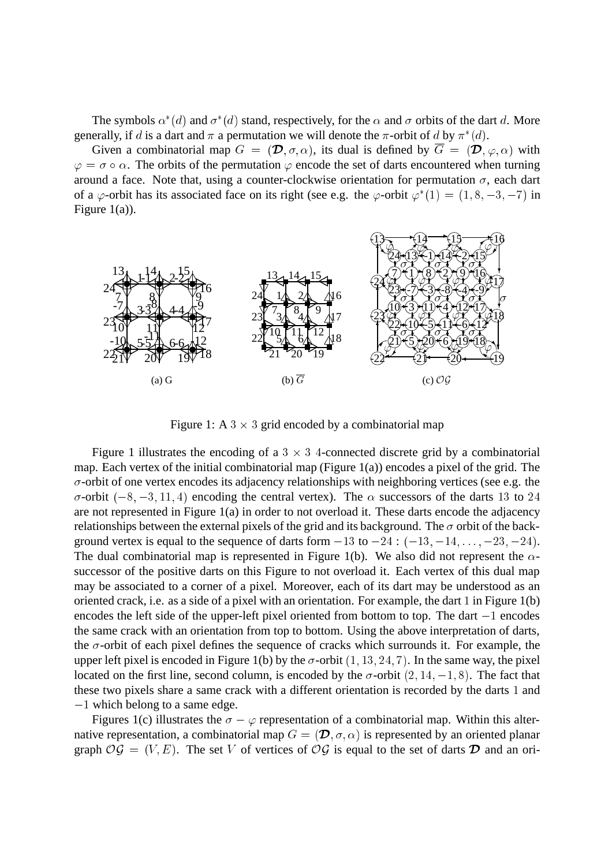The symbols  $\alpha^*(d)$  and  $\sigma^*(d)$  stand, respectively, for the  $\alpha$  and  $\sigma$  orbits of the dart d. More generally, if d is a dart and  $\pi$  a permutation we will denote the  $\pi$ -orbit of d by  $\pi^*(d)$ .

Given a combinatorial map  $G = (\mathcal{D}, \sigma, \alpha)$ , its dual is defined by  $\overline{G} = (\mathcal{D}, \varphi, \alpha)$  with  $\varphi = \sigma \circ \alpha$ . The orbits of the permutation  $\varphi$  encode the set of darts encountered when turning around a face. Note that, using a counter-clockwise orientation for permutation  $\sigma$ , each dart of a  $\varphi$ -orbit has its associated face on its right (see e.g. the  $\varphi$ -orbit  $\varphi^*(1) = (1, 8, -3, -7)$  in Figure 1(a)).



Figure 1: A  $3 \times 3$  grid encoded by a combinatorial map

Figure 1 illustrates the encoding of a  $3 \times 3$  4-connected discrete grid by a combinatorial map. Each vertex of the initial combinatorial map (Figure  $1(a)$ ) encodes a pixel of the grid. The  $\sigma$ -orbit of one vertex encodes its adjacency relationships with neighboring vertices (see e.g. the  $\sigma$ -orbit (-8, -3, 11, 4) encoding the central vertex). The  $\alpha$  successors of the darts 13 to 24 are not represented in Figure 1(a) in order to not overload it. These darts encode the adjacency relationships between the external pixels of the grid and its background. The  $\sigma$  orbit of the background vertex is equal to the sequence of darts form  $-13$  to  $-24$  :  $(-13, -14, \ldots, -23, -24)$ . The dual combinatorial map is represented in Figure 1(b). We also did not represent the  $\alpha$ successor of the positive darts on this Figure to not overload it. Each vertex of this dual map may be associated to a corner of a pixel. Moreover, each of its dart may be understood as an oriented crack, i.e. as a side of a pixel with an orientation. For example, the dart <sup>1</sup> in Figure 1(b) encodes the left side of the upper-left pixel oriented from bottom to top. The dart  $-1$  encodes the same crack with an orientation from top to bottom. Using the above interpretation of darts, the  $\sigma$ -orbit of each pixel defines the sequence of cracks which surrounds it. For example, the upper left pixel is encoded in Figure 1(b) by the  $\sigma$ -orbit (1, 13, 24, 7). In the same way, the pixel located on the first line, second column, is encoded by the  $\sigma$ -orbit  $(2, 14, -1, 8)$ . The fact that these two pixels share a same crack with a different orientation is recorded by the darts <sup>1</sup> and  $-1$  which belong to a same edge.

Figures 1(c) illustrates the  $\sigma - \varphi$  representation of a combinatorial map. Within this alternative representation, a combinatorial map  $G = (\mathcal{D}, \sigma, \alpha)$  is represented by an oriented planar graph  $\mathcal{O}\mathcal{G} = (V, E)$ . The set V of vertices of  $\mathcal{O}\mathcal{G}$  is equal to the set of darts  $\mathcal{D}$  and an ori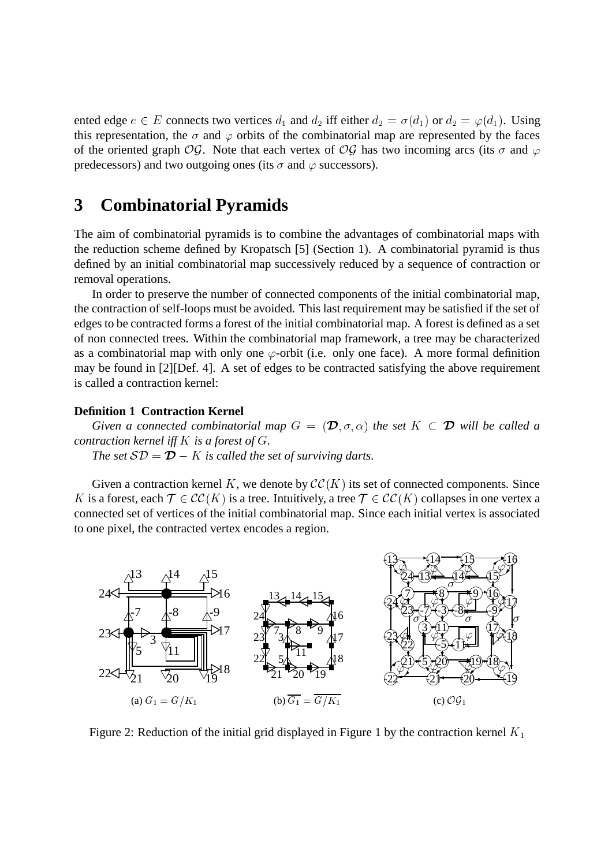ented edge  $e \in E$  connects two vertices  $d_1$  and  $d_2$  iff either  $d_2 = \sigma(d_1)$  or  $d_2 = \varphi(d_1)$ . Using this representation, the  $\sigma$  and  $\varphi$  orbits of the combinatorial map are represented by the faces of the oriented graph OG. Note that each vertex of OG has two incoming arcs (its  $\sigma$  and  $\varphi$ predecessors) and two outgoing ones (its  $\sigma$  and  $\varphi$  successors).

## **3 Combinatorial Pyramids**

The aim of combinatorial pyramids is to combine the advantages of combinatorial maps with the reduction scheme defined by Kropatsch [5] (Section 1). A combinatorial pyramid is thus defined by an initial combinatorial map successively reduced by a sequence of contraction or removal operations.

In order to preserve the number of connected components of the initial combinatorial map, the contraction of self-loops must be avoided. This last requirement may be satisfied if the set of edges to be contracted forms a forest of the initial combinatorial map. A forest is defined as a set of non connected trees. Within the combinatorial map framework, a tree may be characterized as a combinatorial map with only one  $\varphi$ -orbit (i.e. only one face). A more formal definition may be found in [2][Def. 4]. A set of edges to be contracted satisfying the above requirement is called a contraction kernel:

#### **Definition 1 Contraction Kernel**

*Given a connected combinatorial map*  $G = (\mathcal{D}, \sigma, \alpha)$  *the set*  $K \subset \mathcal{D}$  *will be called a contraction kernel iff* <sup>K</sup> *is a forest of* <sup>G</sup>*. The set*  $SD = D - K$  *is called the set of surviving darts.* 

Given a contraction kernel K, we denote by  $\mathcal{CC}(K)$  its set of connected components. Since K is a forest, each  $\mathcal{T} \in \mathcal{CC}(K)$  is a tree. Intuitively, a tree  $\mathcal{T} \in \mathcal{CC}(K)$  collapses in one vertex a connected set of vertices of the initial combinatorial map. Since each initial vertex is associated to one pixel, the contracted vertex encodes a region.



Figure 2: Reduction of the initial grid displayed in Figure 1 by the contraction kernel  $K_1$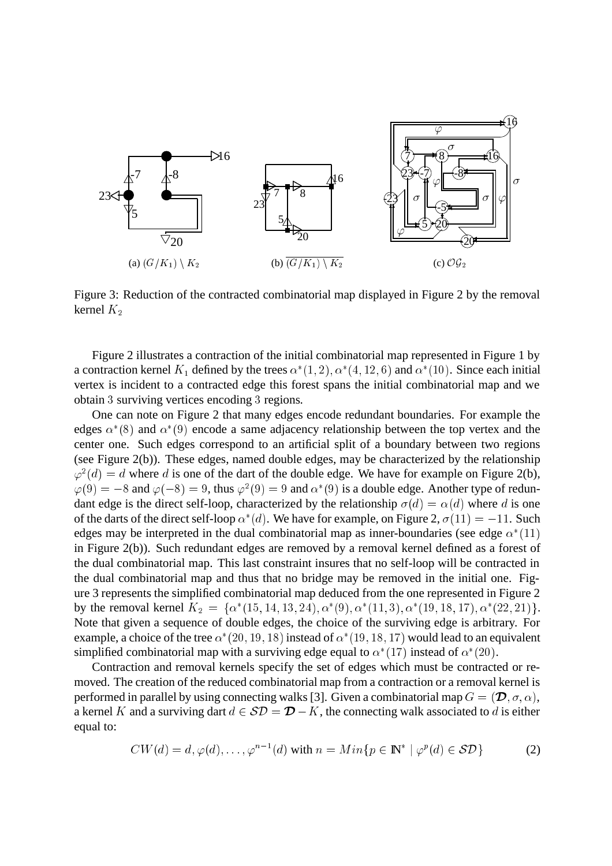

Figure 3: Reduction of the contracted combinatorial map displayed in Figure 2 by the removal kernel  $K_2$ 

Figure 2 illustrates a contraction of the initial combinatorial map represented in Figure 1 by a contraction kernel  $K_1$  defined by the trees  $\alpha^*(1,2), \alpha^*(4,12,6)$  and  $\alpha^*(10)$ . Since each initial vertex is incident to a contracted edge this forest spans the initial combinatorial map and we obtain <sup>3</sup> surviving vertices encoding <sup>3</sup> regions.

One can note on Figure 2 that many edges encode redundant boundaries. For example the edges  $\alpha^*(8)$  and  $\alpha^*(9)$  encode a same adjacency relationship between the top vertex and the center one. Such edges correspond to an artificial split of a boundary between two regions (see Figure 2(b)). These edges, named double edges, may be characterized by the relationship  $\varphi^2(d) = d$  where d is one of the dart of the double edge. We have for example on Figure 2(b),  $\varphi(9) = -8$  and  $\varphi(-8) = 9$ , thus  $\varphi^2(9) = 9$  and  $\alpha^*(9)$  is a double edge. Another type of redundant edge is the direct self-loop, characterized by the relationship  $\sigma(d) = \alpha(d)$  where d is one of the darts of the direct self-loop  $\alpha^*(d)$ . We have for example, on Figure 2,  $\sigma(11) = -11$ . Such edges may be interpreted in the dual combinatorial map as inner-boundaries (see edge  $\alpha^*(11)$ in Figure 2(b)). Such redundant edges are removed by a removal kernel defined as a forest of the dual combinatorial map. This last constraint insures that no self-loop will be contracted in the dual combinatorial map and thus that no bridge may be removed in the initial one. Figure 3 represents the simplified combinatorial map deduced from the one represented in Figure 2 by the removal kernel  $K_2 = \{ \alpha^*(15, 14, 13, 24), \alpha^*(9), \alpha^*(11, 3), \alpha^*(19, 18, 17), \alpha^*(22, 21) \}.$ Note that given a sequence of double edges, the choice of the surviving edge is arbitrary. For example, a choice of the tree  $\alpha^*(20, 19, 18)$  instead of  $\alpha^*(19, 18, 17)$  would lead to an equivalent simplified combinatorial map with a surviving edge equal to  $\alpha^*(17)$  instead of  $\alpha^*(20)$ .

Contraction and removal kernels specify the set of edges which must be contracted or removed. The creation of the reduced combinatorial map from a contraction or a removal kernel is performed in parallel by using connecting walks [3]. Given a combinatorial map  $G = (\mathcal{D}, \sigma, \alpha)$ , a kernel K and a surviving dart  $d \in \mathcal{SD} = \mathcal{D} - K$ , the connecting walk associated to d is either equal to:

$$
CW(d) = d, \varphi(d), \dots, \varphi^{n-1}(d) \text{ with } n = Min\{p \in \mathbb{N}^* \mid \varphi^p(d) \in \mathcal{SD}\}\
$$
 (2)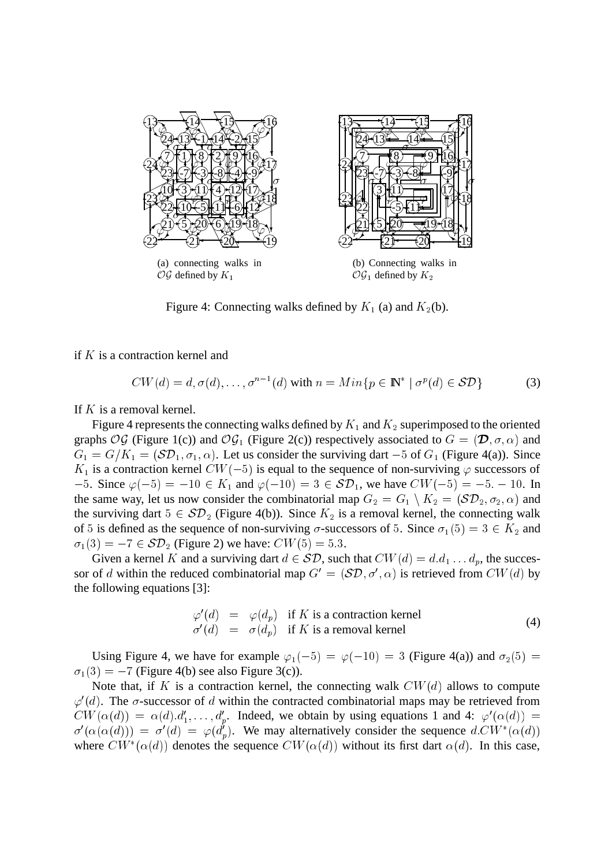

Figure 4: Connecting walks defined by  $K_1$  (a) and  $K_2$ (b).

if  $K$  is a contraction kernel and

$$
CW(d) = d, \sigma(d), \dots, \sigma^{n-1}(d) \text{ with } n = Min\{p \in \mathbb{N}^* \mid \sigma^p(d) \in \mathcal{SD}\}
$$
 (3)

If  $K$  is a removal kernel.

Figure 4 represents the connecting walks defined by  $K_1$  and  $K_2$  superimposed to the oriented graphs OG (Figure 1(c)) and OG<sub>1</sub> (Figure 2(c)) respectively associated to  $G = (\mathcal{D}, \sigma, \alpha)$  and  $G_1 = G/K_1 = (\mathcal{SD}_1, \sigma_1, \alpha)$ . Let us consider the surviving dart  $-5$  of  $G_1$  (Figure 4(a)). Since  $K_1$  is a contraction kernel  $CW(-5)$  is equal to the sequence of non-surviving  $\varphi$  successors of  $-5.$  Since  $\varphi(-5) = -10 \in K_1$  and  $\varphi(-10) = 3 \in \mathcal{SD}_1$ , we have  $CW(-5) = -5. -10$ . In the same way, let us now consider the combinatorial map  $G_2 = G_1 \setminus K_2 = (\mathcal{SD}_2, \sigma_2, \alpha)$  and the surviving dart  $5 \in SD_2$  (Figure 4(b)). Since  $K_2$  is a removal kernel, the connecting walk of 5 is defined as the sequence of non-surviving  $\sigma$ -successors of 5. Since  $\sigma_1(5) = 3 \in K_2$  and  $\sigma_1(3) = -7 \in \mathcal{SD}_2$  (Figure 2) we have:  $CW(5) = 5.3$ .

Given a kernel K and a surviving dart  $d \in \mathcal{SD}$ , such that  $CW(d) = d.d_1 \dots d_p$ , the successor of d within the reduced combinatorial map  $G' = (\mathcal{SD}, \sigma', \alpha)$  is retrieved from  $CW(d)$  by the following equations [3]:

$$
\varphi'(d) = \varphi(d_p) \text{ if } K \text{ is a contraction Kernel}
$$
  
\n
$$
\sigma'(d) = \sigma(d_p) \text{ if } K \text{ is a removal Kernel}
$$
\n(4)

Using Figure 4, we have for example  $\varphi_1(-5) = \varphi(-10) = 3$  (Figure 4(a)) and  $\sigma_2(5) =$  $\sigma_1(3) = -7$  (Figure 4(b) see also Figure 3(c)).

Note that, if K is a contraction kernel, the connecting walk  $CW(d)$  allows to compute  $\varphi'(d)$ . The  $\sigma$ -successor of d within the contracted combinatorial maps may be retrieved from  $CW(\alpha(d)) = \alpha(d) d'_1, \ldots, d'_p$ . Indeed, we obtain by using equations 1 and 4:  $\varphi'(\alpha(d)) =$  $\sigma'(\alpha(\alpha(d))) = \sigma'(d) = \varphi(d'_p)$ . We may alternatively consider the sequence  $d.CW^*(\alpha(d))$ where  $CW^*(\alpha(d))$  denotes the sequence  $CW(\alpha(d))$  without its first dart  $\alpha(d)$ . In this case,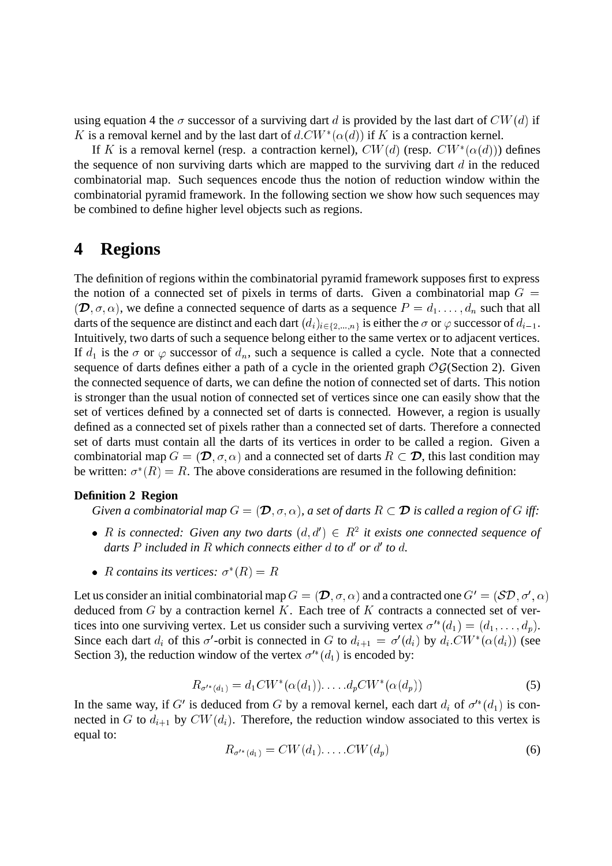using equation 4 the  $\sigma$  successor of a surviving dart d is provided by the last dart of  $CW(d)$  if K is a removal kernel and by the last dart of  $d.CW^*(\alpha(d))$  if K is a contraction kernel.

If K is a removal kernel (resp. a contraction kernel),  $CW(d)$  (resp.  $CW^*(\alpha(d))$ ) defines the sequence of non surviving darts which are mapped to the surviving dart  $d$  in the reduced combinatorial map. Such sequences encode thus the notion of reduction window within the combinatorial pyramid framework. In the following section we show how such sequences may be combined to define higher level objects such as regions.

## **4 Regions**

The definition of regions within the combinatorial pyramid framework supposes first to express the notion of a connected set of pixels in terms of darts. Given a combinatorial map  $G =$  $(\mathcal{D}, \sigma, \alpha)$ , we define a connected sequence of darts as a sequence  $P = d_1, \ldots, d_n$  such that all darts of the sequence are distinct and each dart  $(d_i)_{i \in \{2,...,n\}}$  is either the  $\sigma$  or  $\varphi$  successor of  $d_{i-1}$ . Intuitively, two darts of such a sequence belong either to the same vertex or to adjacent vertices. If  $d_1$  is the  $\sigma$  or  $\varphi$  successor of  $d_n$ , such a sequence is called a cycle. Note that a connected sequence of darts defines either a path of a cycle in the oriented graph  $OG(Section 2)$ . Given the connected sequence of darts, we can define the notion of connected set of darts. This notion is stronger than the usual notion of connected set of vertices since one can easily show that the set of vertices defined by a connected set of darts is connected. However, a region is usually defined as a connected set of pixels rather than a connected set of darts. Therefore a connected set of darts must contain all the darts of its vertices in order to be called a region. Given a combinatorial map  $G = (\mathcal{D}, \sigma, \alpha)$  and a connected set of darts  $R \subset \mathcal{D}$ , this last condition may be written:  $\sigma^*(R) = R$ . The above considerations are resumed in the following definition:

#### **Definition 2 Region**

*Given a combinatorial map*  $G = (\mathcal{D}, \sigma, \alpha)$ , *a set of darts*  $R \subset \mathcal{D}$  *is called a region of G iff:* 

- R is connected: Given any two darts  $(d, d') \in R^2$  it exists one connected sequence of darts P included in R which connects either  $d$  to  $d'$  or  $d'$  to  $d$ .
- R contains its vertices:  $\sigma^*(R) = R$

Let us consider an initial combinatorial map  $G = (\mathcal{D}, \sigma, \alpha)$  and a contracted one  $G' = (\mathcal{SD}, \sigma', \alpha)$ deduced from  $G$  by a contraction kernel  $K$ . Each tree of  $K$  contracts a connected set of vertices into one surviving vertex. Let us consider such a surviving vertex  $\sigma'^*(d_1) = (d_1, \ldots, d_n)$ . Since each dart  $d_i$  of this  $\sigma'$ -orbit is connected in G to  $d_{i+1} = \sigma'(d_i)$  by  $d_i.CW^*(\alpha(d_i))$  (see Section 3), the reduction window of the vertex  $\sigma^{i*}(d_1)$  is encoded by:

$$
R_{\sigma'^{*}(d_1)} = d_1 CW^{*}(\alpha(d_1)). \dots d_p CW^{*}(\alpha(d_p))
$$
\n(5)

In the same way, if G' is deduced from G by a removal kernel, each dart  $d_i$  of  $\sigma'^*(d_1)$  is connected in G to  $d_{i+1}$  by  $CW(d_i)$ . Therefore, the reduction window associated to this vertex is equal to:

$$
R_{\sigma'^*(d_1)} = CW(d_1) \dots CV(d_p) \tag{6}
$$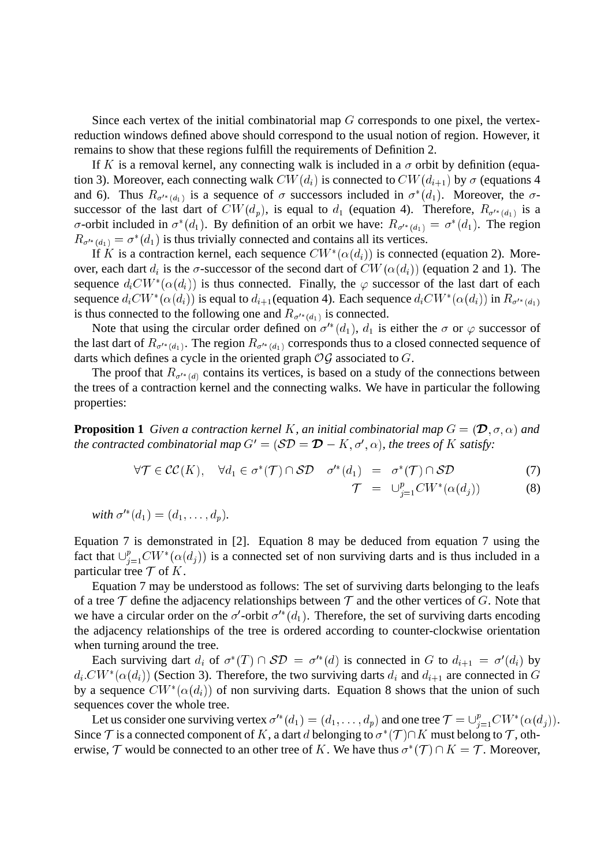Since each vertex of the initial combinatorial map  $G$  corresponds to one pixel, the vertexreduction windows defined above should correspond to the usual notion of region. However, it remains to show that these regions fulfill the requirements of Definition 2.

If K is a removal kernel, any connecting walk is included in a  $\sigma$  orbit by definition (equation 3). Moreover, each connecting walk  $CW(d_i)$  is connected to  $CW(d_{i+1})$  by  $\sigma$  (equations 4 and 6). Thus  $R_{\sigma^{k}(d_1)}$  is a sequence of  $\sigma$  successors included in  $\sigma^*(d_1)$ . Moreover, the  $\sigma$ successor of the last dart of  $CW(d_p)$ , is equal to  $d_1$  (equation 4). Therefore,  $R_{\sigma^{1*}(d_1)}$  is a  $\sigma$ -orbit included in  $\sigma^*(d_1)$ . By definition of an orbit we have:  $R_{\sigma'^*(d_1)} = \sigma^*(d_1)$ . The region  $R_{\sigma^{k}(d_1)} = \sigma^*(d_1)$  is thus trivially connected and contains all its vertices.

If K is a contraction kernel, each sequence  $CW^*(\alpha(d_i))$  is connected (equation 2). Moreover, each dart  $d_i$  is the  $\sigma$ -successor of the second dart of  $CW(\alpha(d_i))$  (equation 2 and 1). The sequence  $d_i CW^*(\alpha(d_i))$  is thus connected. Finally, the  $\varphi$  successor of the last dart of each sequence  $d_i CW^*(\alpha(d_i))$  is equal to  $d_{i+1}$ (equation 4). Each sequence  $d_i CW^*(\alpha(d_i))$  in  $R_{\sigma'^*(d_1)}$ is thus connected to the following one and  $R_{\sigma^{1*}(d_1)}$  is connected.

Note that using the circular order defined on  $\sigma^{i*}(d_1)$ ,  $d_1$  is either the  $\sigma$  or  $\varphi$  successor of the last dart of  $R_{\sigma^{k}(d_1)}$ . The region  $R_{\sigma^{k}(d_1)}$  corresponds thus to a closed connected sequence of darts which defines a cycle in the oriented graph  $\mathcal{OG}$  associated to  $G$ .

The proof that  $R_{\sigma^{k}(d)}$  contains its vertices, is based on a study of the connections between the trees of a contraction kernel and the connecting walks. We have in particular the following properties:

**Proposition 1** *Given a contraction kernel K, an initial combinatorial map*  $G = (\mathcal{D}, \sigma, \alpha)$  *and the contracted combinatorial map*  $G' = (\mathcal{SD} = \mathcal{D} - K, \sigma', \alpha)$ *, the trees of* K *satisfy*:

$$
\forall \mathcal{T} \in \mathcal{CC}(K), \quad \forall d_1 \in \sigma^*(\mathcal{T}) \cap \mathcal{SD} \quad \sigma'^*(d_1) = \sigma^*(\mathcal{T}) \cap \mathcal{SD} \tag{7}
$$

$$
\mathcal{T} = \bigcup_{j=1}^{p} CW^*(\alpha(d_j)) \tag{8}
$$

with 
$$
\sigma'^*(d_1) = (d_1, \ldots, d_p)
$$
.

Equation 7 is demonstrated in [2]. Equation 8 may be deduced from equation 7 using the fact that  $\bigcup_{i=1}^p CW^*(\alpha(d_i))$  is a connected set of non surviving darts and is thus included in a particular tree  $\mathcal T$  of K.

Equation 7 may be understood as follows: The set of surviving darts belonging to the leafs of a tree  $\mathcal T$  define the adjacency relationships between  $\mathcal T$  and the other vertices of G. Note that we have a circular order on the  $\sigma'$ -orbit  $\sigma'^*(d_1)$ . Therefore, the set of surviving darts encoding the adjacency relationships of the tree is ordered according to counter-clockwise orientation when turning around the tree.

Each surviving dart  $d_i$  of  $\sigma^*(T) \cap \mathcal{SD} = \sigma'^*(d)$  is connected in G to  $d_{i+1} = \sigma'(d_i)$  by  $d_i.CW^*(\alpha(d_i))$  (Section 3). Therefore, the two surviving darts  $d_i$  and  $d_{i+1}$  are connected in G by a sequence  $CW^*(\alpha(d_i))$  of non surviving darts. Equation 8 shows that the union of such sequences cover the whole tree.

Let us consider one surviving vertex  $\sigma'^*(d_1) = (d_1, \ldots, d_p)$  and one tree  $\mathcal{T} = \cup_{i=1}^p CW^*(\alpha(d_i)).$ Since  $\mathcal T$  is a connected component of K, a dart d belonging to  $\sigma^*(\mathcal T)\cap K$  must belong to  $\mathcal T$ , otherwise,  $\mathcal T$  would be connected to an other tree of K. We have thus  $\sigma^*(\mathcal T) \cap K = \mathcal T$ . Moreover,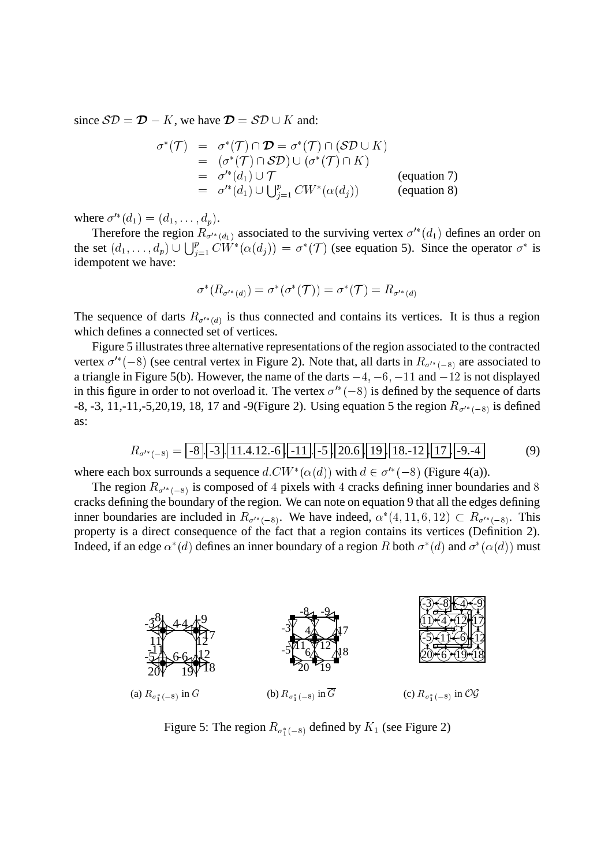since  $\mathcal{SD} = \mathcal{D} - K$ , we have  $\mathcal{D} = \mathcal{SD} \cup K$  and:

$$
\sigma^*(\mathcal{T}) = \sigma^*(\mathcal{T}) \cap \mathcal{D} = \sigma^*(\mathcal{T}) \cap (\mathcal{SD} \cup K)
$$
  
\n
$$
= (\sigma^*(\mathcal{T}) \cap \mathcal{SD}) \cup (\sigma^*(\mathcal{T}) \cap K)
$$
  
\n
$$
= \sigma'^*(d_1) \cup \mathcal{T}
$$
 (equation 7)  
\n
$$
= \sigma'^*(d_1) \cup \bigcup_{j=1}^p CW^*(\alpha(d_j))
$$
 (equation 8)

where  $\sigma'^{*}(d_1) = (d_1, ..., d_p)$ .

Therefore the region  $R_{\sigma^{k}(d_1)}$  associated to the surviving vertex  $\sigma^{k}(d_1)$  defines an order on the set  $(d_1,\ldots,d_p) \cup \bigcup_{i=1}^p CW^*(\alpha(d_j)) = \sigma^*(\mathcal{T})$  (see equation 5). Since the operator  $\sigma^*$  is idempotent we have:

$$
\sigma^*(R_{\sigma'^*(d)})=\sigma^*(\sigma^*(\mathcal{T}))=\sigma^*(\mathcal{T})=R_{\sigma'^*(d)}
$$

The sequence of darts  $R_{\sigma^{k}(d)}$  is thus connected and contains its vertices. It is thus a region which defines a connected set of vertices.

Figure 5 illustrates three alternative representations of the region associated to the contracted vertex  $\sigma^{1*}(-8)$  (see central vertex in Figure 2). Note that, all darts in  $R_{\sigma^{1*}(-8)}$  are associated to a triangle in Figure 5(b). However, the name of the darts  $-4, -6, -11$  and  $-12$  is not displayed in this figure in order to not overload it. The vertex  $\sigma^{k}(-8)$  is defined by the sequence of darts -8, -3, 11,-11,-5,20,19, 18, 17 and -9(Figure 2). Using equation 5 the region  $R_{\sigma^{1*}(-8)}$  is defined as:

$$
R_{\sigma'^{*}(-8)} = -8 \cdot [-3 \cdot [11.4.12. -6 \cdot [-11] \cdot [-5 \cdot [20.6 \cdot [19 \cdot [18. -12 \cdot [17 \cdot [-9. -4 \cdot 9 \cdot 4 \cdot ]])]
$$
(9)

where each box surrounds a sequence  $d.CW^*(\alpha(d))$  with  $d \in \sigma'^*(-8)$  (Figure 4(a)).

The region  $R_{\sigma^{k}(-8)}$  is composed of 4 pixels with 4 cracks defining inner boundaries and 8 cracks defining the boundary of the region. We can note on equation 9 that all the edges defining inner boundaries are included in  $R_{\sigma^{1*}(-8)}$ . We have indeed,  $\alpha^*(4, 11, 6, 12) \subset R_{\sigma^{1*}(-8)}$ . This property is a direct consequence of the fact that a region contains its vertices (Definition 2). Indeed, if an edge  $\alpha^*(d)$  defines an inner boundary of a region R both  $\sigma^*(d)$  and  $\sigma^*(\alpha(d))$  must



Figure 5: The region  $R_{\sigma_1^*(-8)}$  defined by  $K_1$  (see Figure 2)